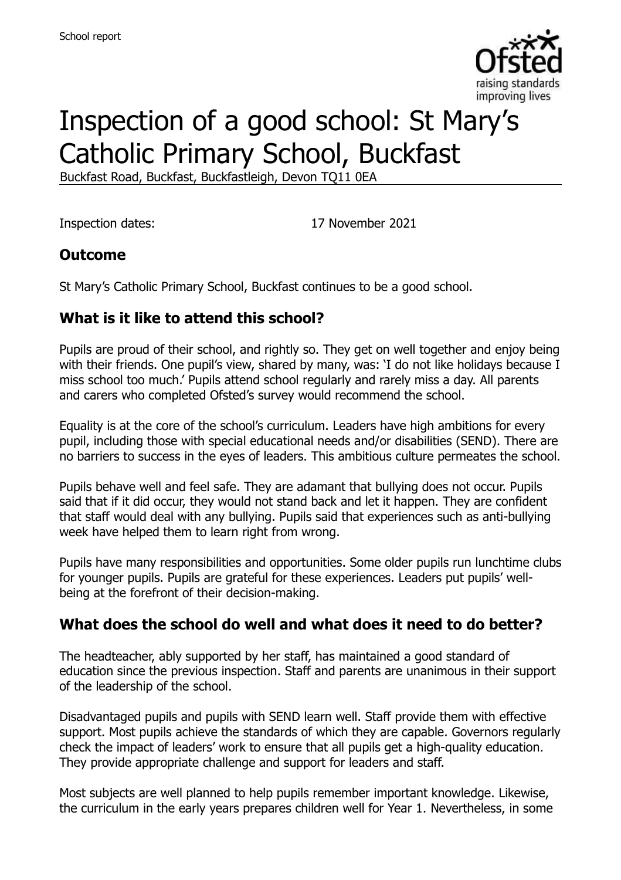

# Inspection of a good school: St Mary's Catholic Primary School, Buckfast

Buckfast Road, Buckfast, Buckfastleigh, Devon TQ11 0EA

Inspection dates: 17 November 2021

#### **Outcome**

St Mary's Catholic Primary School, Buckfast continues to be a good school.

#### **What is it like to attend this school?**

Pupils are proud of their school, and rightly so. They get on well together and enjoy being with their friends. One pupil's view, shared by many, was: 'I do not like holidays because I miss school too much.' Pupils attend school regularly and rarely miss a day. All parents and carers who completed Ofsted's survey would recommend the school.

Equality is at the core of the school's curriculum. Leaders have high ambitions for every pupil, including those with special educational needs and/or disabilities (SEND). There are no barriers to success in the eyes of leaders. This ambitious culture permeates the school.

Pupils behave well and feel safe. They are adamant that bullying does not occur. Pupils said that if it did occur, they would not stand back and let it happen. They are confident that staff would deal with any bullying. Pupils said that experiences such as anti-bullying week have helped them to learn right from wrong.

Pupils have many responsibilities and opportunities. Some older pupils run lunchtime clubs for younger pupils. Pupils are grateful for these experiences. Leaders put pupils' wellbeing at the forefront of their decision-making.

#### **What does the school do well and what does it need to do better?**

The headteacher, ably supported by her staff, has maintained a good standard of education since the previous inspection. Staff and parents are unanimous in their support of the leadership of the school.

Disadvantaged pupils and pupils with SEND learn well. Staff provide them with effective support. Most pupils achieve the standards of which they are capable. Governors regularly check the impact of leaders' work to ensure that all pupils get a high-quality education. They provide appropriate challenge and support for leaders and staff.

Most subjects are well planned to help pupils remember important knowledge. Likewise, the curriculum in the early years prepares children well for Year 1. Nevertheless, in some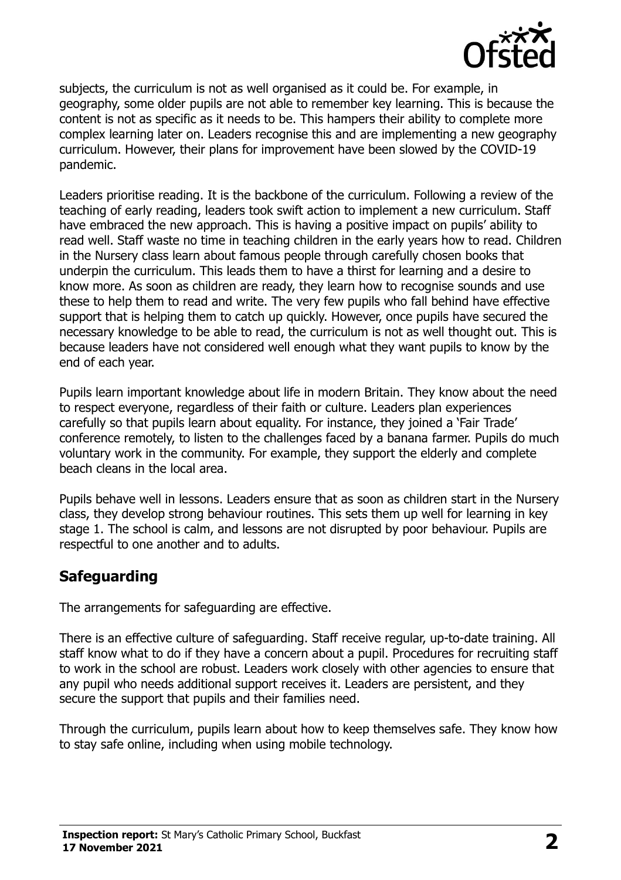

subjects, the curriculum is not as well organised as it could be. For example, in geography, some older pupils are not able to remember key learning. This is because the content is not as specific as it needs to be. This hampers their ability to complete more complex learning later on. Leaders recognise this and are implementing a new geography curriculum. However, their plans for improvement have been slowed by the COVID-19 pandemic.

Leaders prioritise reading. It is the backbone of the curriculum. Following a review of the teaching of early reading, leaders took swift action to implement a new curriculum. Staff have embraced the new approach. This is having a positive impact on pupils' ability to read well. Staff waste no time in teaching children in the early years how to read. Children in the Nursery class learn about famous people through carefully chosen books that underpin the curriculum. This leads them to have a thirst for learning and a desire to know more. As soon as children are ready, they learn how to recognise sounds and use these to help them to read and write. The very few pupils who fall behind have effective support that is helping them to catch up quickly. However, once pupils have secured the necessary knowledge to be able to read, the curriculum is not as well thought out. This is because leaders have not considered well enough what they want pupils to know by the end of each year.

Pupils learn important knowledge about life in modern Britain. They know about the need to respect everyone, regardless of their faith or culture. Leaders plan experiences carefully so that pupils learn about equality. For instance, they joined a 'Fair Trade' conference remotely, to listen to the challenges faced by a banana farmer. Pupils do much voluntary work in the community. For example, they support the elderly and complete beach cleans in the local area.

Pupils behave well in lessons. Leaders ensure that as soon as children start in the Nursery class, they develop strong behaviour routines. This sets them up well for learning in key stage 1. The school is calm, and lessons are not disrupted by poor behaviour. Pupils are respectful to one another and to adults.

#### **Safeguarding**

The arrangements for safeguarding are effective.

There is an effective culture of safeguarding. Staff receive regular, up-to-date training. All staff know what to do if they have a concern about a pupil. Procedures for recruiting staff to work in the school are robust. Leaders work closely with other agencies to ensure that any pupil who needs additional support receives it. Leaders are persistent, and they secure the support that pupils and their families need.

Through the curriculum, pupils learn about how to keep themselves safe. They know how to stay safe online, including when using mobile technology.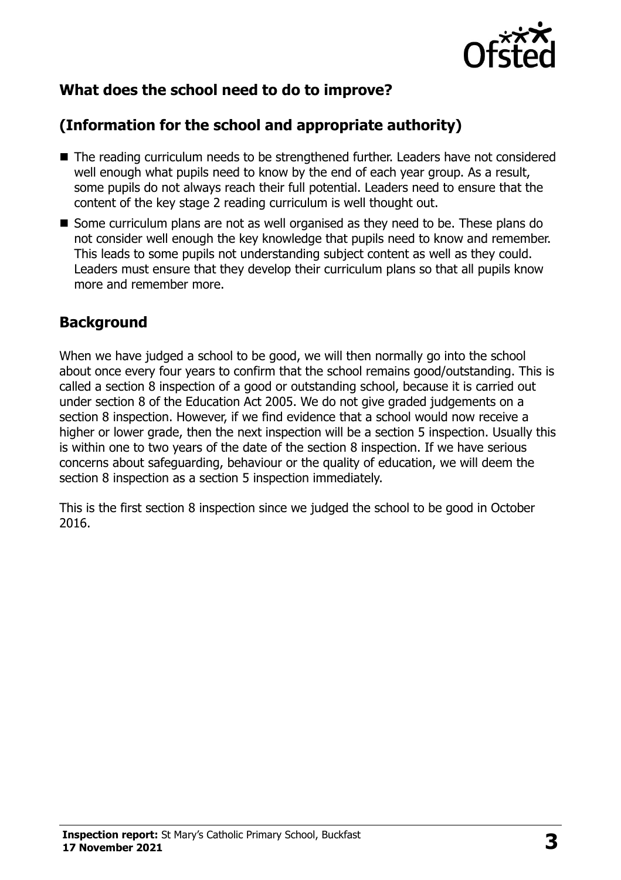

# **What does the school need to do to improve?**

# **(Information for the school and appropriate authority)**

- The reading curriculum needs to be strengthened further. Leaders have not considered well enough what pupils need to know by the end of each year group. As a result, some pupils do not always reach their full potential. Leaders need to ensure that the content of the key stage 2 reading curriculum is well thought out.
- Some curriculum plans are not as well organised as they need to be. These plans do not consider well enough the key knowledge that pupils need to know and remember. This leads to some pupils not understanding subject content as well as they could. Leaders must ensure that they develop their curriculum plans so that all pupils know more and remember more.

### **Background**

When we have judged a school to be good, we will then normally go into the school about once every four years to confirm that the school remains good/outstanding. This is called a section 8 inspection of a good or outstanding school, because it is carried out under section 8 of the Education Act 2005. We do not give graded judgements on a section 8 inspection. However, if we find evidence that a school would now receive a higher or lower grade, then the next inspection will be a section 5 inspection. Usually this is within one to two years of the date of the section 8 inspection. If we have serious concerns about safeguarding, behaviour or the quality of education, we will deem the section 8 inspection as a section 5 inspection immediately.

This is the first section 8 inspection since we judged the school to be good in October 2016.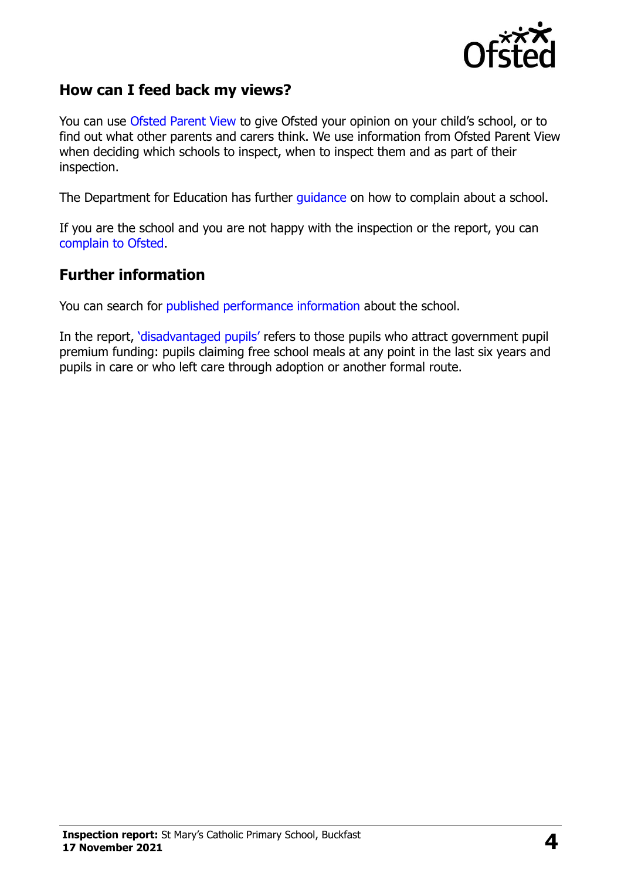

#### **How can I feed back my views?**

You can use [Ofsted Parent View](https://parentview.ofsted.gov.uk/) to give Ofsted your opinion on your child's school, or to find out what other parents and carers think. We use information from Ofsted Parent View when deciding which schools to inspect, when to inspect them and as part of their inspection.

The Department for Education has further [guidance](http://www.gov.uk/complain-about-school) on how to complain about a school.

If you are the school and you are not happy with the inspection or the report, you can [complain to Ofsted.](https://www.gov.uk/complain-ofsted-report)

#### **Further information**

You can search for [published performance information](http://www.compare-school-performance.service.gov.uk/) about the school.

In the report, '[disadvantaged pupils](http://www.gov.uk/guidance/pupil-premium-information-for-schools-and-alternative-provision-settings)' refers to those pupils who attract government pupil premium funding: pupils claiming free school meals at any point in the last six years and pupils in care or who left care through adoption or another formal route.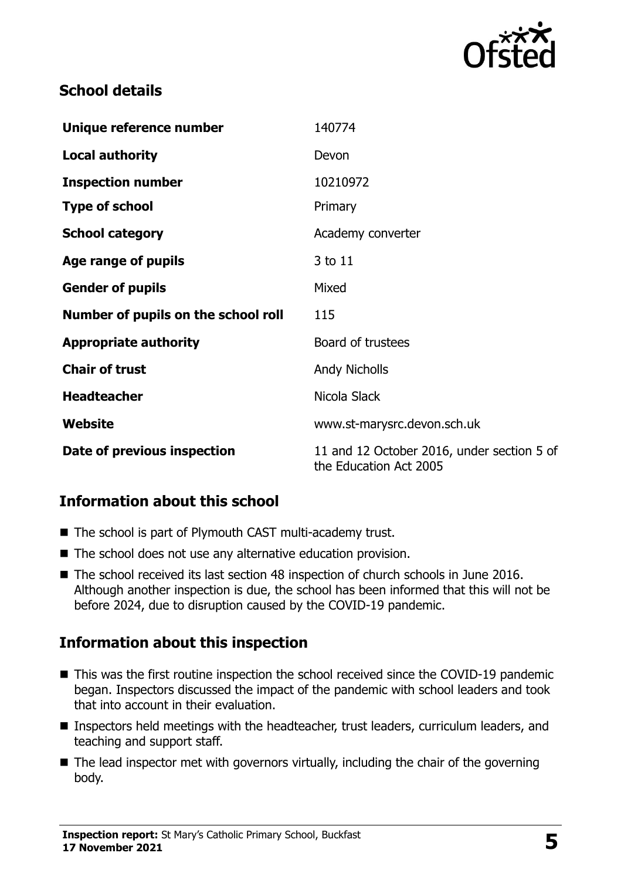

### **School details**

| Unique reference number             | 140774                                                               |
|-------------------------------------|----------------------------------------------------------------------|
| <b>Local authority</b>              | Devon                                                                |
| <b>Inspection number</b>            | 10210972                                                             |
| <b>Type of school</b>               | Primary                                                              |
| <b>School category</b>              | Academy converter                                                    |
| Age range of pupils                 | 3 to 11                                                              |
| <b>Gender of pupils</b>             | Mixed                                                                |
| Number of pupils on the school roll | 115                                                                  |
| <b>Appropriate authority</b>        | Board of trustees                                                    |
| <b>Chair of trust</b>               | <b>Andy Nicholls</b>                                                 |
| <b>Headteacher</b>                  | Nicola Slack                                                         |
| Website                             | www.st-marysrc.devon.sch.uk                                          |
| Date of previous inspection         | 11 and 12 October 2016, under section 5 of<br>the Education Act 2005 |

# **Information about this school**

- The school is part of Plymouth CAST multi-academy trust.
- The school does not use any alternative education provision.
- The school received its last section 48 inspection of church schools in June 2016. Although another inspection is due, the school has been informed that this will not be before 2024, due to disruption caused by the COVID-19 pandemic.

# **Information about this inspection**

- This was the first routine inspection the school received since the COVID-19 pandemic began. Inspectors discussed the impact of the pandemic with school leaders and took that into account in their evaluation.
- Inspectors held meetings with the headteacher, trust leaders, curriculum leaders, and teaching and support staff.
- The lead inspector met with governors virtually, including the chair of the governing body.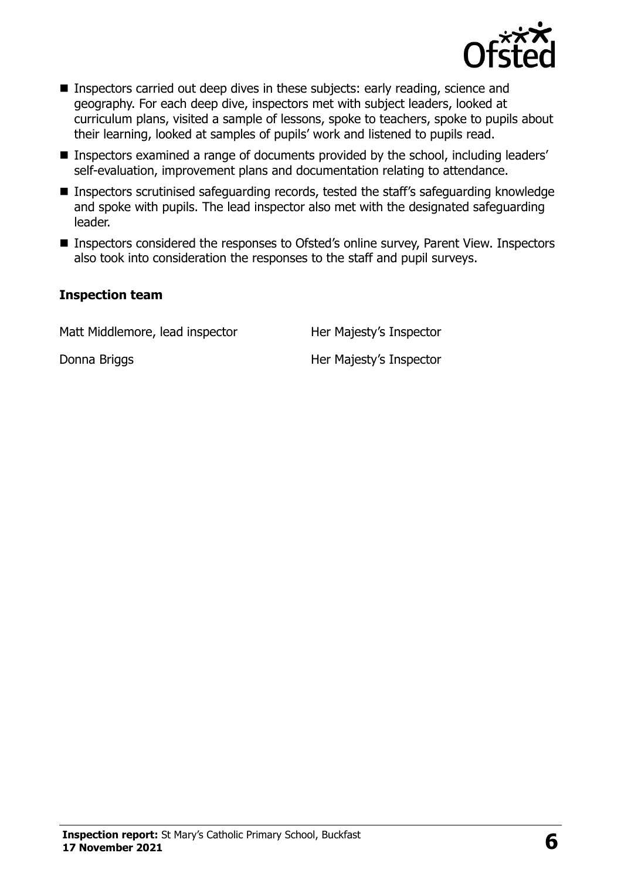

- Inspectors carried out deep dives in these subjects: early reading, science and geography. For each deep dive, inspectors met with subject leaders, looked at curriculum plans, visited a sample of lessons, spoke to teachers, spoke to pupils about their learning, looked at samples of pupils' work and listened to pupils read.
- Inspectors examined a range of documents provided by the school, including leaders' self-evaluation, improvement plans and documentation relating to attendance.
- Inspectors scrutinised safeguarding records, tested the staff's safeguarding knowledge and spoke with pupils. The lead inspector also met with the designated safeguarding leader.
- Inspectors considered the responses to Ofsted's online survey, Parent View. Inspectors also took into consideration the responses to the staff and pupil surveys.

#### **Inspection team**

Matt Middlemore, lead inspector Her Majesty's Inspector

Donna Briggs **Her Majesty's Inspector**